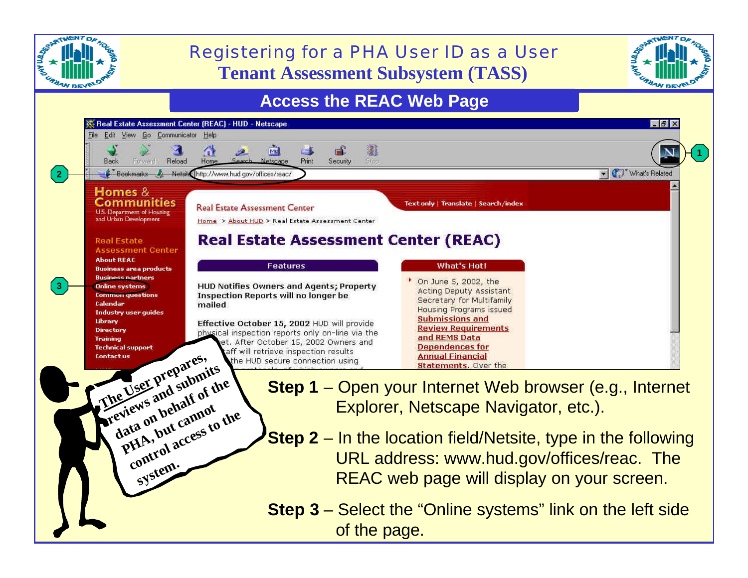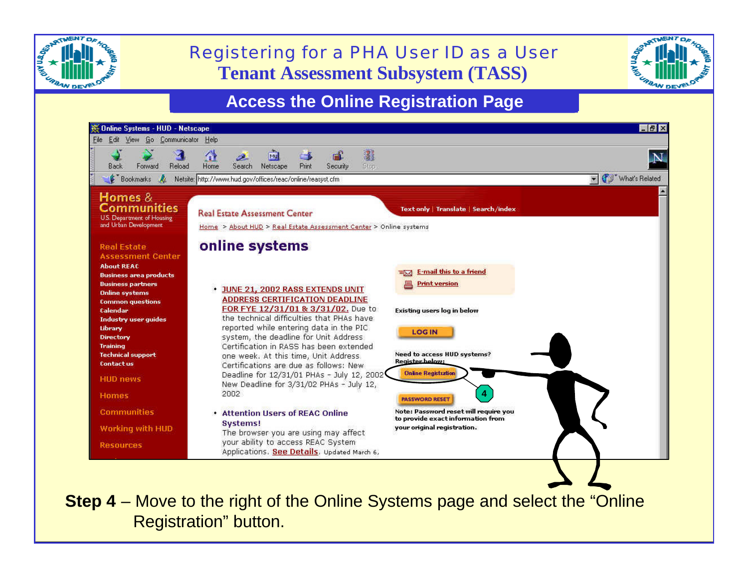

## **Tenant Assessment Subsystem (TASS)** Registering for a PHA User ID as a User



## **Access the Online Registration Page**



**Step 4** – Move to the right of the Online Systems page and select the "Online" Registration" button.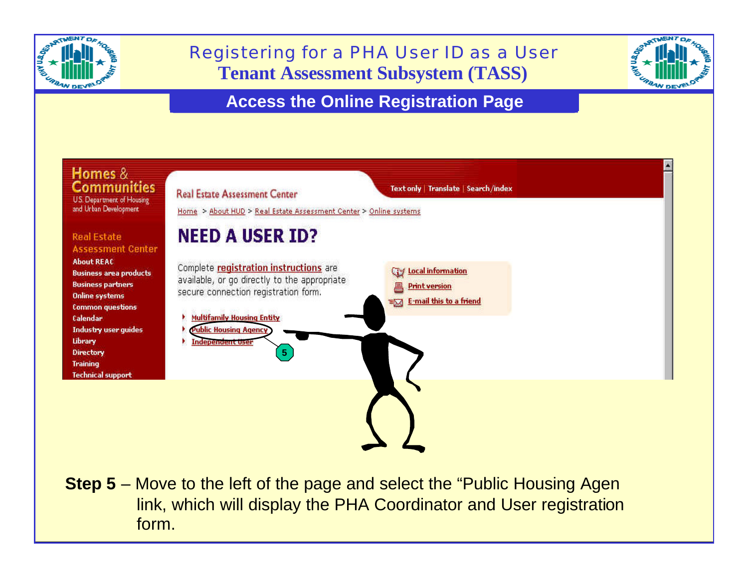

## **Tenant Assessment Subsystem (TASS)** Registering for a PHA User ID as a User



## **Access the Online Registration Page**



link, which will display the PHA Coordinator and User registration **Step 5** – Move to the left of the page and select the "Public Housing Agen" form.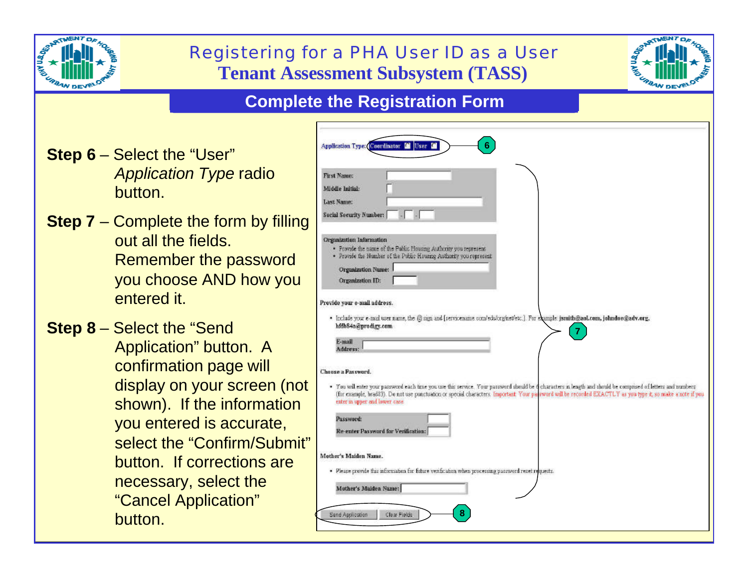|                                       |                                                                                                                                                                                                                                                                                                         | Registering for a PHA User ID as a User<br><b>Tenant Assessment Subsystem (TASS)</b>                                                                                                                                                                                                                                                                                                                                                                                                                                                                                                                                                                                                                                                                                                                                                       |
|---------------------------------------|---------------------------------------------------------------------------------------------------------------------------------------------------------------------------------------------------------------------------------------------------------------------------------------------------------|--------------------------------------------------------------------------------------------------------------------------------------------------------------------------------------------------------------------------------------------------------------------------------------------------------------------------------------------------------------------------------------------------------------------------------------------------------------------------------------------------------------------------------------------------------------------------------------------------------------------------------------------------------------------------------------------------------------------------------------------------------------------------------------------------------------------------------------------|
| <b>Complete the Registration Form</b> |                                                                                                                                                                                                                                                                                                         |                                                                                                                                                                                                                                                                                                                                                                                                                                                                                                                                                                                                                                                                                                                                                                                                                                            |
|                                       | <b>Step 6 – Select the "User"</b><br><b>Application Type radio</b><br>button.<br><b>Step 7</b> – Complete the form by filling                                                                                                                                                                           | Application Type: Coordinator C User C<br><b>First Name:</b><br>Middle Initial:<br>Last Name:<br>Social Security Number:                                                                                                                                                                                                                                                                                                                                                                                                                                                                                                                                                                                                                                                                                                                   |
|                                       | out all the fields.<br>Remember the password<br>you choose AND how you<br>entered it.                                                                                                                                                                                                                   | <b>Organization Information</b><br>· Provide the name of the Public Housing Authority you represent<br>· Provide the Number of the Public Housing Authority you represent<br>Organization Name:<br>Organization ID:<br>Previde your e-mail address.                                                                                                                                                                                                                                                                                                                                                                                                                                                                                                                                                                                        |
|                                       | <b>Step 8 – Select the "Send"</b><br>Application" button. A<br>confirmation page will<br>display on your screen (not<br>shown). If the information<br>you entered is accurate,<br>select the "Confirm/Submit"<br>button. If corrections are<br>necessary, select the<br>"Cancel Application"<br>button. | · Include your e-mail user name, the @ sign and [servicename com/edulorg/net/etc.]. For example: jsruith@aoLoom, johndoe@adv.org,<br>hidb84a@prodigy.com<br>$\mathbf{7}$<br>E-mail<br>Address:<br>Choose a Password.<br>· You will enter your password each time you use this service. Your password should be dicharacters in length and should be comprised of letters and numbers<br>(for example, brad33). Do not use punctuation or special characters. Important Your parsword will be recorded EXACTLY as you type it, so make a note if you<br>enter in upper and lower case.<br>Password:<br>Re-enter Password for Verification:<br>Mother's Maiden Name.<br>· Please provide this information for future verification when processing password reset requests.<br>Muther's Maiden Name:<br>8<br>Clear Fields<br>Send Application |